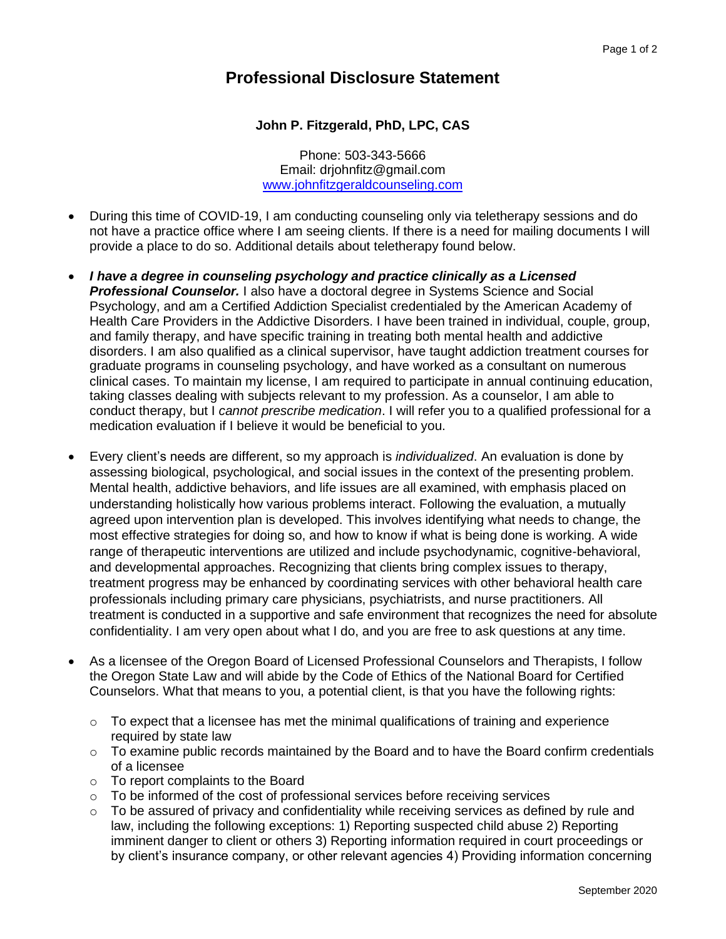## **Professional Disclosure Statement**

## **John P. Fitzgerald, PhD, LPC, CAS**

Phone: 503-343-5666 Email: drjohnfitz@gmail.com [www.johnfitzgeraldcounseling.com](http://www.johnfitzgeraldcounseling.com/)

- During this time of COVID-19, I am conducting counseling only via teletherapy sessions and do not have a practice office where I am seeing clients. If there is a need for mailing documents I will provide a place to do so. Additional details about teletherapy found below.
- *I have a degree in counseling psychology and practice clinically as a Licensed Professional Counselor.* I also have a doctoral degree in Systems Science and Social Psychology, and am a Certified Addiction Specialist credentialed by the American Academy of Health Care Providers in the Addictive Disorders. I have been trained in individual, couple, group, and family therapy, and have specific training in treating both mental health and addictive disorders. I am also qualified as a clinical supervisor, have taught addiction treatment courses for graduate programs in counseling psychology, and have worked as a consultant on numerous clinical cases. To maintain my license, I am required to participate in annual continuing education, taking classes dealing with subjects relevant to my profession. As a counselor, I am able to conduct therapy, but I *cannot prescribe medication*. I will refer you to a qualified professional for a medication evaluation if I believe it would be beneficial to you.
- Every client's needs are different, so my approach is *individualized*. An evaluation is done by assessing biological, psychological, and social issues in the context of the presenting problem. Mental health, addictive behaviors, and life issues are all examined, with emphasis placed on understanding holistically how various problems interact. Following the evaluation, a mutually agreed upon intervention plan is developed. This involves identifying what needs to change, the most effective strategies for doing so, and how to know if what is being done is working. A wide range of therapeutic interventions are utilized and include psychodynamic, cognitive-behavioral, and developmental approaches. Recognizing that clients bring complex issues to therapy, treatment progress may be enhanced by coordinating services with other behavioral health care professionals including primary care physicians, psychiatrists, and nurse practitioners. All treatment is conducted in a supportive and safe environment that recognizes the need for absolute confidentiality. I am very open about what I do, and you are free to ask questions at any time.
- As a licensee of the Oregon Board of Licensed Professional Counselors and Therapists, I follow the Oregon State Law and will abide by the Code of Ethics of the National Board for Certified Counselors. What that means to you, a potential client, is that you have the following rights:
	- $\circ$  To expect that a licensee has met the minimal qualifications of training and experience required by state law
	- $\circ$  To examine public records maintained by the Board and to have the Board confirm credentials of a licensee
	- o To report complaints to the Board
	- o To be informed of the cost of professional services before receiving services
	- $\circ$  To be assured of privacy and confidentiality while receiving services as defined by rule and law, including the following exceptions: 1) Reporting suspected child abuse 2) Reporting imminent danger to client or others 3) Reporting information required in court proceedings or by client's insurance company, or other relevant agencies 4) Providing information concerning